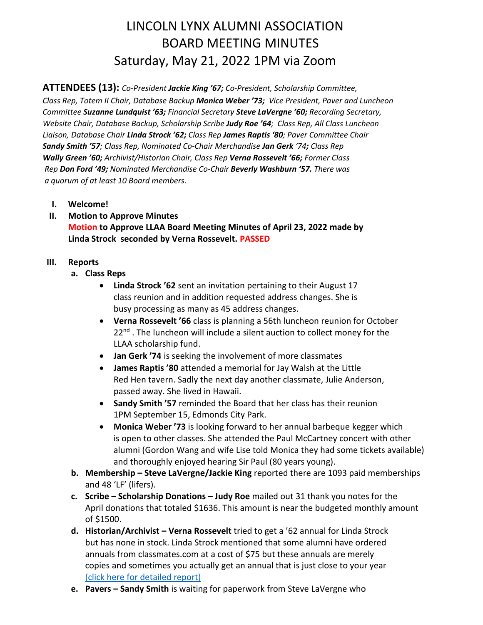# LINCOLN LYNX ALUMNI ASSOCIATION BOARD MEETING MINUTES Saturday, May 21, 2022 1PM via Zoom

**ATTENDEES (13):** *Co-President Jackie King '67; Co-President, Scholarship Committee, Class Rep, Totem II Chair, Database Backup Monica Weber '73; Vice President, Paver and Luncheon Committee Suzanne Lundquist '63; Financial Secretary Steve LaVergne '60; Recording Secretary, Website Chair, Database Backup, Scholarship Scribe Judy Roe '64; Class Rep, All Class Luncheon Liaison, Database Chair Linda Strock '62; Class Rep James Raptis '80; Paver Committee Chair Sandy Smith '57; Class Rep, Nominated Co-Chair Merchandise Jan Gerk '74; Class Rep Wally Green '60; Archivist/Historian Chair, Class Rep Verna Rossevelt '66; Former Class Rep Don Ford '49; Nominated Merchandise Co-Chair Beverly Washburn '57. There was a quorum of at least 10 Board members.*

- **I. Welcome!**
- **II. Motion to Approve Minutes Motion to Approve LLAA Board Meeting Minutes of April 23, 2022 made by Linda Strock seconded by Verna Rossevelt. PASSED**

### **III. Reports**

- **a. Class Reps**
	- **Linda Strock '62** sent an invitation pertaining to their August 17 class reunion and in addition requested address changes. She is busy processing as many as 45 address changes.
	- **Verna Rossevelt '66** class is planning a 56th luncheon reunion for October  $22<sup>nd</sup>$ . The luncheon will include a silent auction to collect money for the LLAA scholarship fund.
	- **Jan Gerk '74** is seeking the involvement of more classmates
	- **James Raptis '80** attended a memorial for Jay Walsh at the Little Red Hen tavern. Sadly the next day another classmate, Julie Anderson, passed away. She lived in Hawaii.
	- **Sandy Smith '57** reminded the Board that her class has their reunion 1PM September 15, Edmonds City Park.
	- **Monica Weber '73** is looking forward to her annual barbeque kegger which is open to other classes. She attended the Paul McCartney concert with other alumni (Gordon Wang and wife Lise told Monica they had some tickets available) and thoroughly enjoyed hearing Sir Paul (80 years young).
- **b. Membership – Steve LaVergne/Jackie King** reported there are 1093 paid memberships and 48 'LF' (lifers).
- **c. Scribe – Scholarship Donations – Judy Roe** mailed out 31 thank you notes for the April donations that totaled \$1636. This amount is near the budgeted monthly amount of \$1500.
- **d. Historian/Archivist – Verna Rossevelt** tried to get a '62 annual for Linda Strock but has none in stock. Linda Strock mentioned that some alumni have ordered annuals from classmates.com at a cost of \$75 but these annuals are merely copies and sometimes you actually get an annual that is just close to your year [\(click here for detailed report\)](https://lincolnhighlynx.org/uploads/Archivist_note_May2022.pdf)
- **e. Pavers – Sandy Smith** is waiting for paperwork from Steve LaVergne who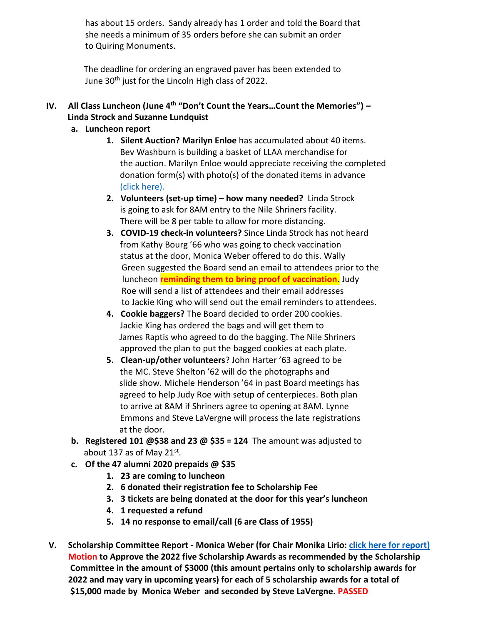has about 15 orders. Sandy already has 1 order and told the Board that she needs a minimum of 35 orders before she can submit an order to Quiring Monuments.

 The deadline for ordering an engraved paver has been extended to June 30<sup>th</sup> just for the Lincoln High class of 2022.

## **IV. All Class Luncheon (June 4th "Don't Count the Years…Count the Memories") – Linda Strock and Suzanne Lundquist**

### **a. Luncheon report**

- **1. Silent Auction? Marilyn Enloe** has accumulated about 40 items. Bev Washburn is building a basket of LLAA merchandise for the auction. Marilyn Enloe would appreciate receiving the completed donation form(s) with photo(s) of the donated items in advance [\(click here\).](https://lincolnhighlynx.org/uploads/AllClassLuncheonDonationReceipt_2022.pdf)
- **2. Volunteers (set-up time) – how many needed?** Linda Strock is going to ask for 8AM entry to the Nile Shriners facility. There will be 8 per table to allow for more distancing.
- **3. COVID-19 check-in volunteers?** Since Linda Strock has not heard from Kathy Bourg '66 who was going to check vaccination status at the door, Monica Weber offered to do this. Wally Green suggested the Board send an email to attendees prior to the luncheon **reminding them to bring proof of vaccination**. Judy Roe will send a list of attendees and their email addresses to Jackie King who will send out the email reminders to attendees.
- **4. Cookie baggers?** The Board decided to order 200 cookies. Jackie King has ordered the bags and will get them to James Raptis who agreed to do the bagging. The Nile Shriners approved the plan to put the bagged cookies at each plate.
- **5. Clean-up/other volunteers**? John Harter '63 agreed to be the MC. Steve Shelton '62 will do the photographs and slide show. Michele Henderson '64 in past Board meetings has agreed to help Judy Roe with setup of centerpieces. Both plan to arrive at 8AM if Shriners agree to opening at 8AM. Lynne Emmons and Steve LaVergne will process the late registrations at the door.
- **b. Registered 101 @\$38 and 23 @ \$35 = 124** The amount was adjusted to about 137 as of May 21 $\mathrm{^{st}}$ .
- **c. Of the 47 alumni 2020 prepaids @ \$35**
	- **1. 23 are coming to luncheon**
	- **2. 6 donated their registration fee to Scholarship Fee**
	- **3. 3 tickets are being donated at the door for this year's luncheon**
	- **4. 1 requested a refund**
	- **5. 14 no response to email/call (6 are Class of 1955)**
- **V. Scholarship Committee Report - Monica Weber (for Chair Monika Lirio: [click here for report\)](https://lincolnhighlynx.org/uploads/Scholarships_2022.pdf) Motion to Approve the 2022 five Scholarship Awards as recommended by the Scholarship Committee in the amount of \$3000 (this amount pertains only to scholarship awards for 2022 and may vary in upcoming years) for each of 5 scholarship awards for a total of \$15,000 made by Monica Weber and seconded by Steve LaVergne. PASSED**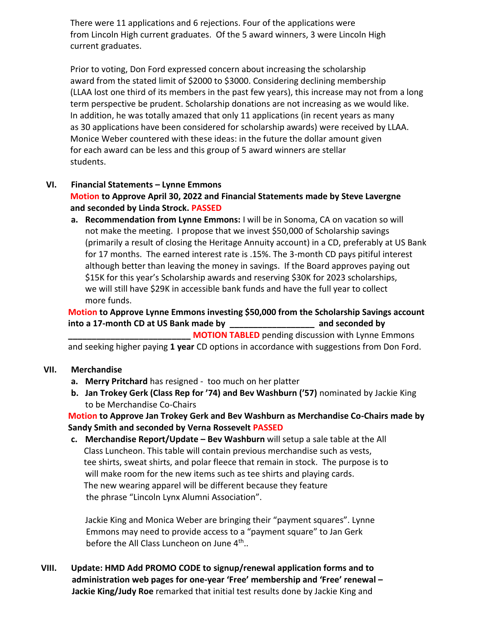There were 11 applications and 6 rejections. Four of the applications were from Lincoln High current graduates. Of the 5 award winners, 3 were Lincoln High current graduates.

Prior to voting, Don Ford expressed concern about increasing the scholarship award from the stated limit of \$2000 to \$3000. Considering declining membership (LLAA lost one third of its members in the past few years), this increase may not from a long term perspective be prudent. Scholarship donations are not increasing as we would like. In addition, he was totally amazed that only 11 applications (in recent years as many as 30 applications have been considered for scholarship awards) were received by LLAA. Monice Weber countered with these ideas: in the future the dollar amount given for each award can be less and this group of 5 award winners are stellar students.

### **VI. Financial Statements – Lynne Emmons**

### **Motion to Approve April 30, 2022 and Financial Statements made by Steve Lavergne and seconded by Linda Strock. PASSED**

**a. Recommendation from Lynne Emmons:** I will be in Sonoma, CA on vacation so will not make the meeting. I propose that we invest \$50,000 of Scholarship savings (primarily a result of closing the Heritage Annuity account) in a CD, preferably at US Bank for 17 months. The earned interest rate is .15%. The 3-month CD pays pitiful interest although better than leaving the money in savings. If the Board approves paying out \$15K for this year's Scholarship awards and reserving \$30K for 2023 scholarships, we will still have \$29K in accessible bank funds and have the full year to collect more funds.

# **Motion to Approve Lynne Emmons investing \$50,000 from the Scholarship Savings account into a 17-month CD at US Bank made by \_\_\_\_\_\_\_\_\_\_\_\_\_\_\_\_\_\_ and seconded by**

**MOTION TABLED** pending discussion with Lynne Emmons and seeking higher paying **1 year** CD options in accordance with suggestions from Don Ford.

#### **VII. Merchandise**

- **a. Merry Pritchard** has resigned too much on her platter
- **b. Jan Trokey Gerk (Class Rep for '74) and Bev Washburn ('57)** nominated by Jackie King to be Merchandise Co-Chairs

**Motion to Approve Jan Trokey Gerk and Bev Washburn as Merchandise Co-Chairs made by Sandy Smith and seconded by Verna Rossevelt PASSED**

**c. Merchandise Report/Update – Bev Washburn** will setup a sale table at the All Class Luncheon. This table will contain previous merchandise such as vests, tee shirts, sweat shirts, and polar fleece that remain in stock. The purpose is to will make room for the new items such as tee shirts and playing cards. The new wearing apparel will be different because they feature the phrase "Lincoln Lynx Alumni Association".

Jackie King and Monica Weber are bringing their "payment squares". Lynne Emmons may need to provide access to a "payment square" to Jan Gerk before the All Class Luncheon on June 4<sup>th</sup>..

**VIII. Update: HMD Add PROMO CODE to signup/renewal application forms and to administration web pages for one-year 'Free' membership and 'Free' renewal – Jackie King/Judy Roe** remarked that initial test results done by Jackie King and